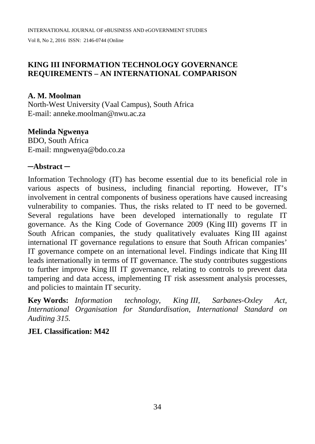Vol 8, No 2, 2016 ISSN: 2146-0744 (Online

## **KING III INFORMATION TECHNOLOGY GOVERNANCE REQUIREMENTS – AN INTERNATIONAL COMPARISON**

#### **A. M. Moolman**

North-West University (Vaal Campus), South Africa E-mail: anneke.moolman@nwu.ac.za

#### **Melinda Ngwenya**

BDO, South Africa E-mail: mngwenya@bdo.co.za

### **─Abstract ─**

Information Technology (IT) has become essential due to its beneficial role in various aspects of business, including financial reporting. However, IT's involvement in central components of business operations have caused increasing vulnerability to companies. Thus, the risks related to IT need to be governed. Several regulations have been developed internationally to regulate IT governance. As the King Code of Governance 2009 (King III) governs IT in South African companies, the study qualitatively evaluates King III against international IT governance regulations to ensure that South African companies' IT governance compete on an international level. Findings indicate that King III leads internationally in terms of IT governance. The study contributes suggestions to further improve King III IT governance, relating to controls to prevent data tampering and data access, implementing IT risk assessment analysis processes, and policies to maintain IT security.

**Key Words:** *Information technology, King III, Sarbanes-Oxley Act, International Organisation for Standardisation, International Standard on Auditing 315.*

### **JEL Classification: M42**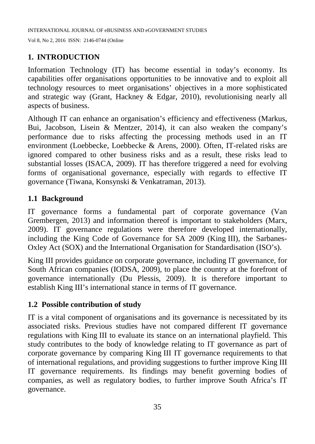Vol 8, No 2, 2016 ISSN: 2146-0744 (Online

## **1. INTRODUCTION**

Information Technology (IT) has become essential in today's economy. Its capabilities offer organisations opportunities to be innovative and to exploit all technology resources to meet organisations' objectives in a more sophisticated and strategic way (Grant, Hackney & Edgar, 2010), revolutionising nearly all aspects of business.

Although IT can enhance an organisation's efficiency and effectiveness (Markus, Bui, Jacobson, Lisein & Mentzer, 2014), it can also weaken the company's performance due to risks affecting the processing methods used in an IT environment (Loebbecke, Loebbecke & Arens*,* 2000). Often, IT-related risks are ignored compared to other business risks and as a result, these risks lead to substantial losses (ISACA, 2009). IT has therefore triggered a need for evolving forms of organisational governance, especially with regards to effective IT governance (Tiwana, Konsynski & Venkatraman, 2013).

### **1.1 Background**

IT governance forms a fundamental part of corporate governance (Van Grembergen, 2013) and information thereof is important to stakeholders (Marx, 2009). IT governance regulations were therefore developed internationally, including the King Code of Governance for SA 2009 (King III), the Sarbanes-Oxley Act (SOX) and the International Organisation for Standardisation (ISO's).

King III provides guidance on corporate governance, including IT governance, for South African companies (IODSA, 2009), to place the country at the forefront of governance internationally (Du Plessis, 2009). It is therefore important to establish King III's international stance in terms of IT governance.

### **1.2 Possible contribution of study**

IT is a vital component of organisations and its governance is necessitated by its associated risks. Previous studies have not compared different IT governance regulations with King III to evaluate its stance on an international playfield. This study contributes to the body of knowledge relating to IT governance as part of corporate governance by comparing King III IT governance requirements to that of international regulations, and providing suggestions to further improve King III IT governance requirements. Its findings may benefit governing bodies of companies, as well as regulatory bodies, to further improve South Africa's IT governance.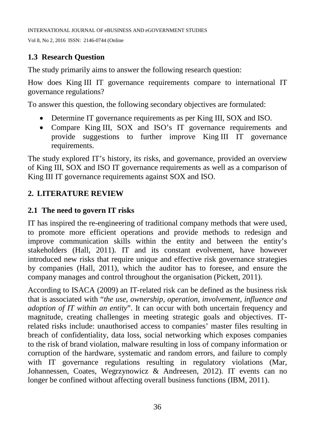## **1.3 Research Question**

The study primarily aims to answer the following research question:

How does King III IT governance requirements compare to international IT governance regulations?

To answer this question, the following secondary objectives are formulated:

- Determine IT governance requirements as per King III, SOX and ISO.
- Compare King III, SOX and ISO's IT governance requirements and provide suggestions to further improve King III IT governance requirements.

The study explored IT's history, its risks, and governance, provided an overview of King III, SOX and ISO IT governance requirements as well as a comparison of King III IT governance requirements against SOX and ISO.

## **2. LITERATURE REVIEW**

### **2.1 The need to govern IT risks**

IT has inspired the re-engineering of traditional company methods that were used, to promote more efficient operations and provide methods to redesign and improve communication skills within the entity and between the entity's stakeholders (Hall, 2011). IT and its constant evolvement, have however introduced new risks that require unique and effective risk governance strategies by companies (Hall, 2011), which the auditor has to foresee, and ensure the company manages and control throughout the organisation (Pickett, 2011).

According to ISACA (2009) an IT-related risk can be defined as the business risk that is associated with "*the use, ownership, operation, involvement, influence and adoption of IT within an entity*". It can occur with both uncertain frequency and magnitude, creating challenges in meeting strategic goals and objectives. ITrelated risks include: unauthorised access to companies' master files resulting in breach of confidentiality, data loss, social networking which exposes companies to the risk of brand violation, malware resulting in loss of company information or corruption of the hardware, systematic and random errors, and failure to comply with IT governance regulations resulting in regulatory violations (Mar, Johannessen, Coates, Wegrzynowicz & Andreesen, 2012). IT events can no longer be confined without affecting overall business functions (IBM, 2011).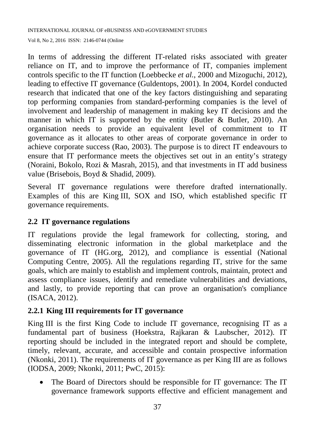In terms of addressing the different IT-related risks associated with greater reliance on IT, and to improve the performance of IT, companies implement controls specific to the IT function (Loebbecke *et al.*, 2000 and Mizoguchi, 2012), leading to effective IT governance (Guldentops, 2001). In 2004, Kordel conducted research that indicated that one of the key factors distinguishing and separating top performing companies from standard-performing companies is the level of involvement and leadership of management in making key IT decisions and the manner in which IT is supported by the entity (Butler & Butler*,* 2010). An organisation needs to provide an equivalent level of commitment to IT governance as it allocates to other areas of corporate governance in order to achieve corporate success (Rao, 2003). The purpose is to direct IT endeavours to ensure that IT performance meets the objectives set out in an entity's strategy (Noraini, Bokolo, Rozi & Masrah, 2015), and that investments in IT add business value (Brisebois, Boyd & Shadid*,* 2009).

Several IT governance regulations were therefore drafted internationally. Examples of this are King III, SOX and ISO, which established specific IT governance requirements.

## **2.2 IT governance regulations**

IT regulations provide the legal framework for collecting, storing, and disseminating electronic information in the global marketplace and the governance of IT (HG.org, 2012), and compliance is essential (National Computing Centre, 2005). All the regulations regarding IT, strive for the same goals, which are mainly to establish and implement controls, maintain, protect and assess compliance issues, identify and remediate vulnerabilities and deviations, and lastly, to provide reporting that can prove an organisation's compliance (ISACA, 2012).

### **2.2.1 King III requirements for IT governance**

King III is the first King Code to include IT governance, recognising IT as a fundamental part of business (Hoekstra, Rajkaran & Laubscher*,* 2012). IT reporting should be included in the integrated report and should be complete, timely, relevant, accurate, and accessible and contain prospective information (Nkonki, 2011). The requirements of IT governance as per King III are as follows (IODSA, 2009; Nkonki, 2011; PwC, 2015):

• The Board of Directors should be responsible for IT governance: The IT governance framework supports effective and efficient management and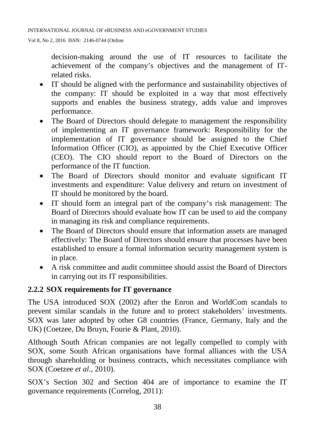decision-making around the use of IT resources to facilitate the achievement of the company's objectives and the management of ITrelated risks.

- IT should be aligned with the performance and sustainability objectives of the company: IT should be exploited in a way that most effectively supports and enables the business strategy, adds value and improves performance.
- The Board of Directors should delegate to management the responsibility of implementing an IT governance framework: Responsibility for the implementation of IT governance should be assigned to the Chief Information Officer (CIO), as appointed by the Chief Executive Officer (CEO). The CIO should report to the Board of Directors on the performance of the IT function.
- The Board of Directors should monitor and evaluate significant IT investments and expenditure: Value delivery and return on investment of IT should be monitored by the board.
- IT should form an integral part of the company's risk management: The Board of Directors should evaluate how IT can be used to aid the company in managing its risk and compliance requirements.
- The Board of Directors should ensure that information assets are managed effectively: The Board of Directors should ensure that processes have been established to ensure a formal information security management system is in place.
- A risk committee and audit committee should assist the Board of Directors in carrying out its IT responsibilities.

## **2.2.2 SOX requirements for IT governance**

The USA introduced SOX (2002) after the Enron and WorldCom scandals to prevent similar scandals in the future and to protect stakeholders' investments. SOX was later adopted by other G8 countries (France, Germany, Italy and the UK) (Coetzee, Du Bruyn, Fourie & Plant, 2010).

Although South African companies are not legally compelled to comply with SOX, some South African organisations have formal alliances with the USA through shareholding or business contracts, which necessitates compliance with SOX (Coetzee *et al*., 2010).

SOX's Section 302 and Section 404 are of importance to examine the IT governance requirements (Correlog, 2011):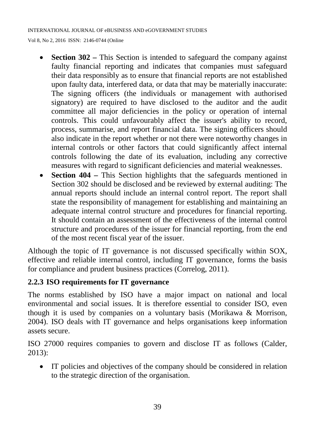- **Section 302 –** This Section is intended to safeguard the company against faulty financial reporting and indicates that companies must safeguard their data responsibly as to ensure that financial reports are not established upon faulty data, interfered data, or data that may be materially inaccurate: The signing officers (the individuals or management with authorised signatory) are required to have disclosed to the auditor and the audit committee all major deficiencies in the policy or operation of internal controls. This could unfavourably affect the issuer's ability to record, process, summarise, and report financial data. The signing officers should also indicate in the report whether or not there were noteworthy changes in internal controls or other factors that could significantly affect internal controls following the date of its evaluation, including any corrective measures with regard to significant deficiencies and material weaknesses.
- **Section 404** This Section highlights that the safeguards mentioned in Section 302 should be disclosed and be reviewed by external auditing: The annual reports should include an internal control report. The report shall state the responsibility of management for establishing and maintaining an adequate internal control structure and procedures for financial reporting. It should contain an assessment of the effectiveness of the internal control structure and procedures of the issuer for financial reporting, from the end of the most recent fiscal year of the issuer.

Although the topic of IT governance is not discussed specifically within SOX, effective and reliable internal control, including IT governance, forms the basis for compliance and prudent business practices (Correlog, 2011).

# **2.2.3 ISO requirements for IT governance**

The norms established by ISO have a major impact on national and local environmental and social issues. It is therefore essential to consider ISO, even though it is used by companies on a voluntary basis (Morikawa & Morrison, 2004). ISO deals with IT governance and helps organisations keep information assets secure.

ISO 27000 requires companies to govern and disclose IT as follows (Calder, 2013):

• IT policies and objectives of the company should be considered in relation to the strategic direction of the organisation.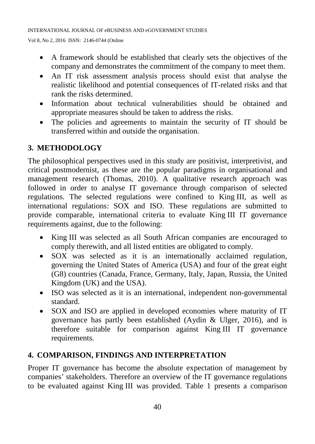- A framework should be established that clearly sets the objectives of the company and demonstrates the commitment of the company to meet them.
- An IT risk assessment analysis process should exist that analyse the realistic likelihood and potential consequences of IT-related risks and that rank the risks determined.
- Information about technical vulnerabilities should be obtained and appropriate measures should be taken to address the risks.
- The policies and agreements to maintain the security of IT should be transferred within and outside the organisation.

# **3. METHODOLOGY**

The philosophical perspectives used in this study are positivist, interpretivist, and critical postmodernist, as these are the popular paradigms in organisational and management research (Thomas, 2010). A qualitative research approach was followed in order to analyse IT governance through comparison of selected regulations. The selected regulations were confined to King III, as well as international regulations: SOX and ISO. These regulations are submitted to provide comparable, international criteria to evaluate King III IT governance requirements against, due to the following:

- King III was selected as all South African companies are encouraged to comply therewith, and all listed entities are obligated to comply.
- SOX was selected as it is an internationally acclaimed regulation, governing the United States of America (USA) and four of the great eight (G8) countries (Canada, France, Germany, Italy, Japan, Russia, the United Kingdom (UK) and the USA).
- ISO was selected as it is an international, independent non-governmental standard.
- SOX and ISO are applied in developed economies where maturity of IT governance has partly been established (Aydin & Ulger, 2016), and is therefore suitable for comparison against King III IT governance requirements.

# **4. COMPARISON, FINDINGS AND INTERPRETATION**

Proper IT governance has become the absolute expectation of management by companies' stakeholders. Therefore an overview of the IT governance regulations to be evaluated against King III was provided. Table 1 presents a comparison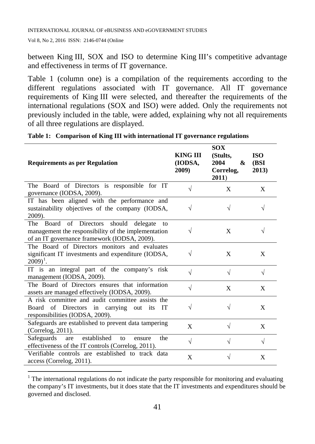$\overline{a}$ 

between King III, SOX and ISO to determine King III's competitive advantage and effectiveness in terms of IT governance.

Table 1 (column one) is a compilation of the requirements according to the different regulations associated with IT governance. All IT governance requirements of King III were selected, and thereafter the requirements of the international regulations (SOX and ISO) were added. Only the requirements not previously included in the table, were added, explaining why not all requirements of all three regulations are displayed.

| <b>Requirements as per Regulation</b>                                                                                                                  | KING III<br>(IODSA,<br>2009) | <b>SOX</b><br>(Stults,<br>2004<br>&<br>Correlog,<br>2011) | <b>ISO</b><br>(BSI)<br>2013) |
|--------------------------------------------------------------------------------------------------------------------------------------------------------|------------------------------|-----------------------------------------------------------|------------------------------|
| The Board of Directors is responsible for IT<br>governance (IODSA, 2009).                                                                              | V                            | X                                                         | X                            |
| IT has been aligned with the performance and<br>sustainability objectives of the company (IODSA,<br>2009).                                             |                              | V                                                         | V                            |
| The Board of Directors should<br>delegate<br>to<br>management the responsibility of the implementation<br>of an IT governance framework (IODSA, 2009). | $\sqrt{}$                    | X                                                         |                              |
| The Board of Directors monitors and evaluates<br>significant IT investments and expenditure (IODSA,<br>$2009)^{1}$ .                                   | V                            | X                                                         | X                            |
| IT is an integral part of the company's risk<br>management (IODSA, 2009).                                                                              | V                            | $\sqrt{ }$                                                | $\sqrt{ }$                   |
| The Board of Directors ensures that information<br>assets are managed effectively (IODSA, 2009).                                                       |                              | X                                                         | X                            |
| A risk committee and audit committee assists the<br>Board of Directors in carrying out its<br>IT<br>responsibilities (IODSA, 2009).                    | $\sqrt{}$                    | V                                                         | X                            |
| Safeguards are established to prevent data tampering<br>(Correlog, 2011).                                                                              | X                            | V                                                         | X                            |
| established<br>Safeguards<br>are<br>the<br>to<br>ensure<br>effectiveness of the IT controls (Correlog, 2011).                                          | V                            | V                                                         | $\sqrt{ }$                   |
| Verifiable controls are established to track data<br>access (Correlog, 2011).                                                                          | X                            |                                                           | X                            |

#### **Table 1: Comparison of King III with international IT governance regulations**

<span id="page-7-0"></span><sup>&</sup>lt;sup>1</sup> The international regulations do not indicate the party responsible for monitoring and evaluating the company's IT investments, but it does state that the IT investments and expenditures should be governed and disclosed.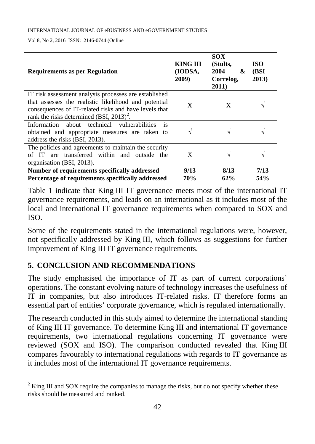| <b>Requirements as per Regulation</b>                                                                                                                                                                                             | KING III<br>(IODSA,<br>2009) | SOX.<br>(Stults,<br>2004<br>&<br>Correlog,<br>2011) | <b>ISO</b><br>(BSI<br>2013) |
|-----------------------------------------------------------------------------------------------------------------------------------------------------------------------------------------------------------------------------------|------------------------------|-----------------------------------------------------|-----------------------------|
| IT risk assessment analysis processes are established<br>that assesses the realistic likelihood and potential<br>consequences of IT-related risks and have levels that<br>rank the risks determined (BSI, $2013$ ) <sup>2</sup> . | X                            | X                                                   |                             |
| is<br>Information about technical vulnerabilities<br>obtained and appropriate measures are taken to<br>address the risks (BSI, 2013).                                                                                             | $\sqrt{ }$                   |                                                     |                             |
| The policies and agreements to maintain the security<br>are transferred within and outside the<br>οf<br>- IT -<br>organisation (BSI, 2013).                                                                                       | X                            |                                                     |                             |
| Number of requirements specifically addressed<br>Percentage of requirements specifically addressed                                                                                                                                | 9/13<br>70%                  | 8/13<br>62%                                         | 7/13<br>54%                 |
|                                                                                                                                                                                                                                   |                              |                                                     |                             |

Table 1 indicate that King III IT governance meets most of the international IT governance requirements, and leads on an international as it includes most of the local and international IT governance requirements when compared to SOX and ISO.

Some of the requirements stated in the international regulations were, however, not specifically addressed by King III, which follows as suggestions for further improvement of King III IT governance requirements.

### **5. CONCLUSION AND RECOMMENDATIONS**

 $\overline{a}$ 

The study emphasised the importance of IT as part of current corporations' operations. The constant evolving nature of technology increases the usefulness of IT in companies, but also introduces IT-related risks. IT therefore forms an essential part of entities' corporate governance, which is regulated internationally.

The research conducted in this study aimed to determine the international standing of King III IT governance. To determine King III and international IT governance requirements, two international regulations concerning IT governance were reviewed (SOX and ISO). The comparison conducted revealed that King III compares favourably to international regulations with regards to IT governance as it includes most of the international IT governance requirements.

<span id="page-8-0"></span> $2 King III$  and SOX require the companies to manage the risks, but do not specify whether these risks should be measured and ranked.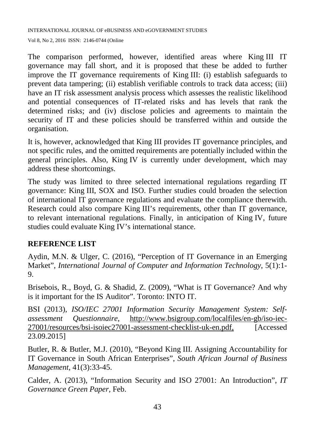Vol 8, No 2, 2016 ISSN: 2146-0744 (Online

The comparison performed, however, identified areas where King III IT governance may fall short, and it is proposed that these be added to further improve the IT governance requirements of King III: (i) establish safeguards to prevent data tampering; (ii) establish verifiable controls to track data access; (iii) have an IT risk assessment analysis process which assesses the realistic likelihood and potential consequences of IT-related risks and has levels that rank the determined risks; and (iv) disclose policies and agreements to maintain the security of IT and these policies should be transferred within and outside the organisation.

It is, however, acknowledged that King III provides IT governance principles, and not specific rules, and the omitted requirements are potentially included within the general principles. Also, King IV is currently under development, which may address these shortcomings.

The study was limited to three selected international regulations regarding IT governance: King III, SOX and ISO. Further studies could broaden the selection of international IT governance regulations and evaluate the compliance therewith. Research could also compare King III's requirements, other than IT governance, to relevant international regulations. Finally, in anticipation of King IV, future studies could evaluate King IV's international stance.

### **REFERENCE LIST**

Aydin, M.N. & Ulger, C. (2016), "Perception of IT Governance in an Emerging Market", *International Journal of Computer and Information Technology*, 5(1):1- 9.

Brisebois, R., Boyd, G. & Shadid, Z. (2009), "What is IT Governance? And why is it important for the IS Auditor". Toronto: INTO IT.

BSI (2013), *ISO/IEC 27001 Information Security Management System: Selfassessment Questionnaire*, http://www.bsigroup.com/localfiles/en-gb/iso-iec-27001/resources/bsi-isoiec27001-assessment-checklist-uk-en.pdf, [Accessed 23.09.2015]

Butler, R. & Butler, M.J. (2010), "Beyond King III. Assigning Accountability for IT Governance in South African Enterprises", *South African Journal of Business Management*, 41(3):33-45.

Calder, A. (2013), "Information Security and ISO 27001: An Introduction", *IT Governance Green Paper,* Feb.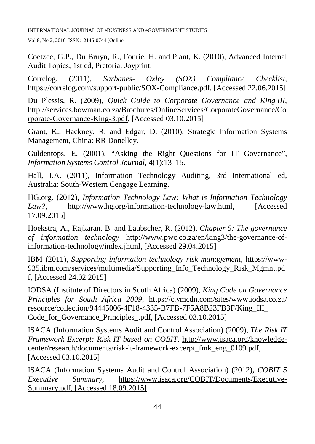Vol 8, No 2, 2016 ISSN: 2146-0744 (Online

Coetzee, G.P., Du Bruyn, R., Fourie, H. and Plant, K. (2010), Advanced Internal Audit Topics, 1st ed, Pretoria: Joyprint.

Correlog. (2011), *Sarbanes- Oxley (SOX) Compliance Checklist*, https://correlog.com/support-public/SOX-Compliance.pdf, [Accessed 22.06.2015]

Du Plessis, R. (2009), *Quick Guide to Corporate Governance and King III*, http://services.bowman.co.za/Brochures/OnlineServices/CorporateGovernance/Co rporate-Governance-King-3.pdf, [Accessed 03.10.2015]

Grant, K., Hackney, R. and Edgar, D. (2010), Strategic Information Systems Management, China: RR Donelley.

Guldentops, E. (2001), "Asking the Right Questions for IT Governance", *Information Systems Control Journal*, 4(1):13–15.

Hall, J.A. (2011), Information Technology Auditing, 3rd International ed, Australia: South-Western Cengage Learning.

HG.org. (2012), *Information Technology Law: What is Information Technology Law?,* http://www.hg.org/information-technology-law.html, [Accessed 17.09.2015]

Hoekstra, A., Rajkaran, B. and Laubscher, R. (2012), *Chapter 5: The governance of information technology* http://www.pwc.co.za/en/king3/the-governance-ofinformation-technology/index.jhtml, [Accessed 29.04.2015]

IBM (2011), *Supporting information technology risk management*, https://www-935.ibm.com/services/multimedia/Supporting\_Info\_Technology\_Risk\_Mgmnt.pd f, [Accessed 24.02.2015]

IODSA (Institute of Directors in South Africa) (2009), *King Code on Governance Principles for South Africa 2009*, https://c.ymcdn.com/sites/www.iodsa.co.za/ resource/collection/94445006-4F18-4335-B7FB-7F5A8B23FB3F/King\_III\_ Code\_for\_Governance\_Principles\_.pdf, [Accessed 03.10.2015]

ISACA (Information Systems Audit and Control Association) (2009), *The Risk IT Framework Excerpt: Risk IT based on COBIT*, http://www.isaca.org/knowledgecenter/research/documents/risk-it-framework-excerpt\_fmk\_eng\_0109.pdf, [Accessed 03.10.2015]

ISACA (Information Systems Audit and Control Association) (2012), *COBIT 5 Executive Summary*, https://www.isaca.org/COBIT/Documents/Executive-Summary.pdf, [Accessed 18.09.2015]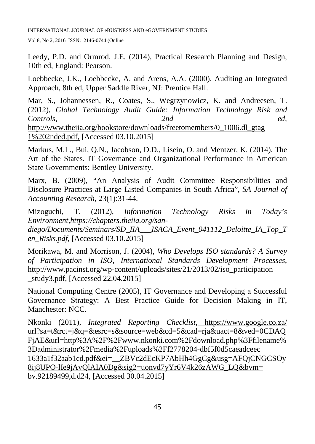Leedy, P.D. and Ormrod, J.E. (2014), Practical Research Planning and Design, 10th ed, England: Pearson.

Loebbecke, J.K., Loebbecke, A. and Arens, A.A. (2000), Auditing an Integrated Approach, 8th ed, Upper Saddle River, NJ: Prentice Hall.

Mar, S., Johannessen, R., Coates, S., Wegrzynowicz, K. and Andreesen, T. (2012), *Global Technology Audit Guide: Information Technology Risk and Controls, 2nd ed,* http://www.theiia.org/bookstore/downloads/freetomembers/0\_1006.dl\_gtag 1%202nded.pdf, [Accessed 03.10.2015]

Markus, M.L., Bui, Q.N., Jacobson, D.D., Lisein, O. and Mentzer, K. (2014), The Art of the States. IT Governance and Organizational Performance in American State Governments: Bentley University.

Marx, B. (2009), "An Analysis of Audit Committee Responsibilities and Disclosure Practices at Large Listed Companies in South Africa", *SA Journal of Accounting Research*, 23(1):31-44.

Mizoguchi, T. (2012), *Information Technology Risks in Today's Environment*,*https://chapters.theiia.org/sandiego/Documents/Seminars/SD\_IIA\_\_\_ISACA\_Event\_041112\_Deloitte\_IA\_Top\_T en\_Risks.pdf*, [Accessed 03.10.2015]

Morikawa, M. and Morrison, J. (2004), *Who Develops ISO standards? A Survey of Participation in ISO, International Standards Development Processes*, http://www.pacinst.org/wp-content/uploads/sites/21/2013/02/iso\_participation \_study3.pdf, [Accessed 22.04.2015]

National Computing Centre (2005), IT Governance and Developing a Successful Governance Strategy: A Best Practice Guide for Decision Making in IT, Manchester: NCC.

Nkonki (2011), *Integrated Reporting Checklist*, https://www.google.co.za/ url?sa=t&rct=j&q=&esrc=s&source=web&cd=5&cad=rja&uact=8&ved=0CDAQ FjAE&url=http%3A%2F%2Fwww.nkonki.com%2Fdownload.php%3Ffilename% 3Dadministrator%2Fmedia%2Fuploads%2Ff2778204-dbf5f0d5caeadceec 1633a1f32aab1cd.pdf&ei=\_\_ZBVc2dEcKP7AbHh4GgCg&usg=AFQjCNGCSOy 8ij8UPO-lIe9jAvQlAIA0Dg&sig2=uonvd7yYr6V4k26zAWG\_LQ&bvm= bv.92189499,d.d24, [Accessed 30.04.2015]